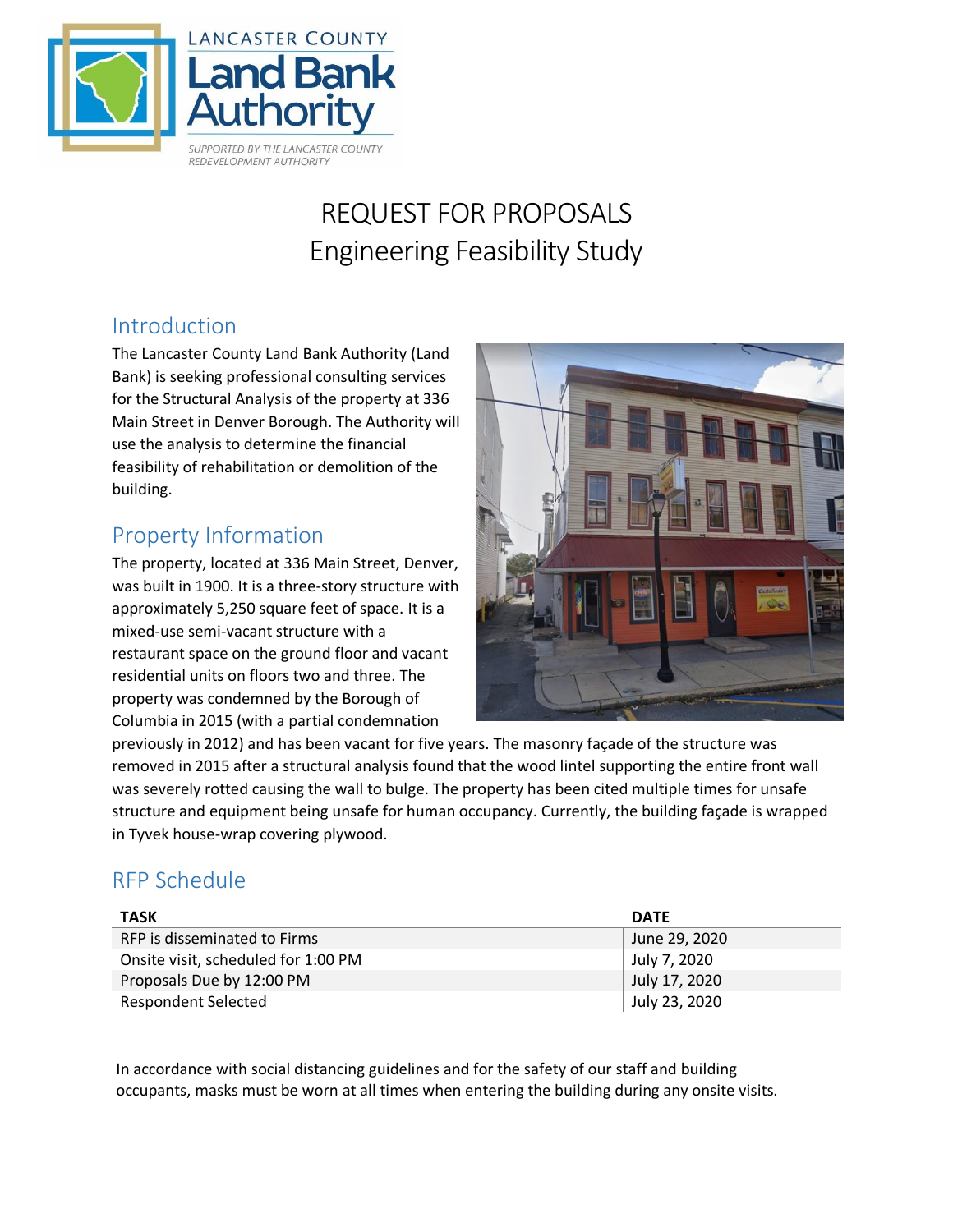

# REQUEST FOR PROPOSALS Engineering Feasibility Study

#### Introduction

The Lancaster County Land Bank Authority (Land Bank) is seeking professional consulting services for the Structural Analysis of the property at 336 Main Street in Denver Borough. The Authority will use the analysis to determine the financial feasibility of rehabilitation or demolition of the building.

#### Property Information

The property, located at 336 Main Street, Denver, was built in 1900. It is a three-story structure with approximately 5,250 square feet of space. It is a mixed-use semi-vacant structure with a restaurant space on the ground floor and vacant residential units on floors two and three. The property was condemned by the Borough of Columbia in 2015 (with a partial condemnation



previously in 2012) and has been vacant for five years. The masonry façade of the structure was removed in 2015 after a structural analysis found that the wood lintel supporting the entire front wall was severely rotted causing the wall to bulge. The property has been cited multiple times for unsafe structure and equipment being unsafe for human occupancy. Currently, the building façade is wrapped in Tyvek house-wrap covering plywood.

## RFP Schedule

| <b>TASK</b>                         | <b>DATE</b>   |
|-------------------------------------|---------------|
| RFP is disseminated to Firms        | June 29, 2020 |
| Onsite visit, scheduled for 1:00 PM | July 7, 2020  |
| Proposals Due by 12:00 PM           | July 17, 2020 |
| <b>Respondent Selected</b>          | July 23, 2020 |

In accordance with social distancing guidelines and for the safety of our staff and building occupants, masks must be worn at all times when entering the building during any onsite visits.